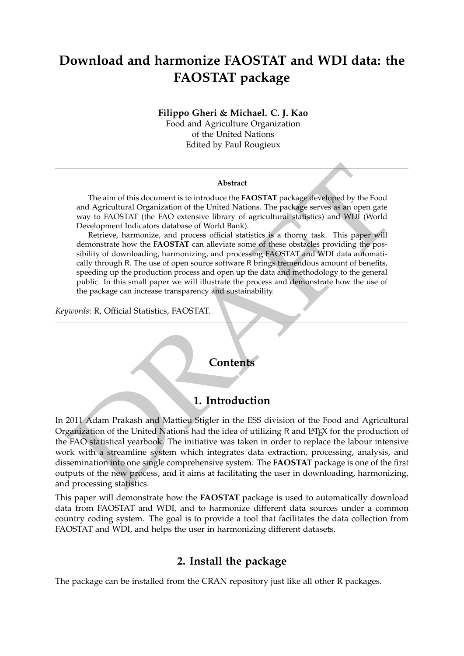# **Download and harmonize FAOSTAT and WDI data: the FAOSTAT package**

**Filippo Gheri & Michael. C. J. Kao** Food and Agriculture Organization

of the United Nations Edited by Paul Rougieux

#### **Abstract**

The aim of this document is to introduce the **FAOSTAT** package developed by the Food and Agricultural Organization of the United Nations. The package serves as an open gate way to FAOSTAT (the FAO extensive library of agricultural statistics) and WDI (World Development Indicators database of World Bank).

Retrieve, harmonize, and process official statistics is a thorny task. This paper will demonstrate how the **FAOSTAT** can alleviate some of these obstacles providing the possibility of downloading, harmonizing, and processing FAOSTAT and WDI data automatically through R. The use of open source software R brings tremendous amount of benefits, speeding up the production process and open up the data and methodology to the general public. In this small paper we will illustrate the process and demonstrate how the use of the package can increase transparency and sustainability.

*Keywords*: R, Official Statistics, FAOSTAT.

## **Contents**

### **1. Introduction**

Abstract (The aim of this document is to introduce the FAOSTAT package/developed by the Food and Agricultural Organization of the United Nations. The package serves as an open gate way to FAOSTAT (the FAO extensive liberal In 2011 Adam Prakash and Mattieu Stigler in the ESS division of the Food and Agricultural Organization of the United Nations had the idea of utilizing R and LATEX for the production of the FAO statistical yearbook. The initiative was taken in order to replace the labour intensive work with a streamline system which integrates data extraction, processing, analysis, and dissemination into one single comprehensive system. The **FAOSTAT** package is one of the first outputs of the new process, and it aims at facilitating the user in downloading, harmonizing, and processing statistics.

This paper will demonstrate how the **FAOSTAT** package is used to automatically download data from FAOSTAT and WDI, and to harmonize different data sources under a common country coding system. The goal is to provide a tool that facilitates the data collection from FAOSTAT and WDI, and helps the user in harmonizing different datasets.

## **2. Install the package**

The package can be installed from the CRAN repository just like all other R packages.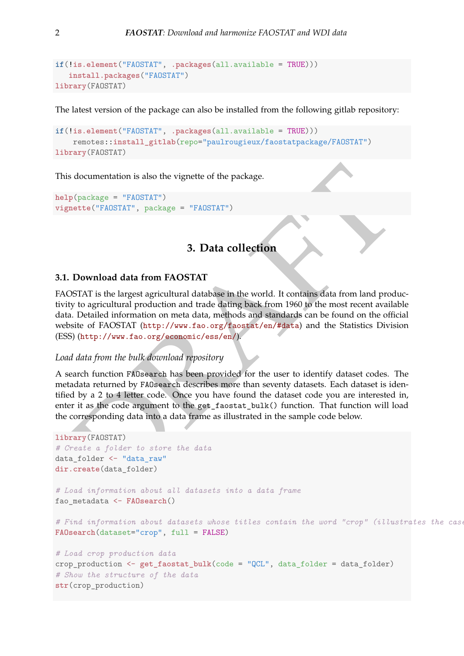```
if(!is.element("FAOSTAT", .packages(all.available = TRUE)))
   install.packages("FAOSTAT")
library(FAOSTAT)
```
The latest version of the package can also be installed from the following gitlab repository:

```
if(!is.element("FAOSTAT", .packages(all.available = TRUE)))
    remotes::install_gitlab(repo="paulrougieux/faostatpackage/FAOSTAT")
library(FAOSTAT)
```
This documentation is also the vignette of the package.

```
help(package = "FAOSTAT")
vignette("FAOSTAT", package = "FAOSTAT")
```
## **3. Data collection**

#### **3.1. Download data from FAOSTAT**

FAOSTAT is the largest agricultural database in the world. It contains data from land productivity to agricultural production and trade dating back from 1960 to the most recent available data. Detailed information on meta data, methods and standards can be found on the official website of FAOSTAT (http://www.fao.org/faostat/en/#data) and the Statistics Division (ESS) (http://www.fao.org/economic/ess/en/).

#### *Load data from the bulk download repository*

A search function FAOsearch has been provided for the user to identify dataset codes. The metadata returned by FAOsearch describes more than seventy datasets. Each dataset is identified by a 2 to 4 letter code. Once you have found the dataset code you are interested in, enter it as the code argument to the get\_faostat\_bulk() function. That function will load the corresponding data into a data frame as illustrated in the sample code below.

```
AOSTAT")<br>
(package = "FAOSTAT")<br>
3. Data collection<br>
2. Download data from FAOSTAT<br>
(DSTAT is the largest agricultural database in the world. It contai
library(FAOSTAT)
# Create a folder to store the data
data folder <- "data raw"
dir.create(data_folder)
# Load information about all datasets into a data frame
fao_metadata <- FAOsearch()
# Find information about datasets whose titles contain the word "crop" (illustrates the case insensitive search)
FAOsearch(dataset="crop", full = FALSE)
# Load crop production data
crop_production <- get_faostat_bulk(code = "QCL", data_folder = data_folder)
# Show the structure of the data
str(crop_production)
```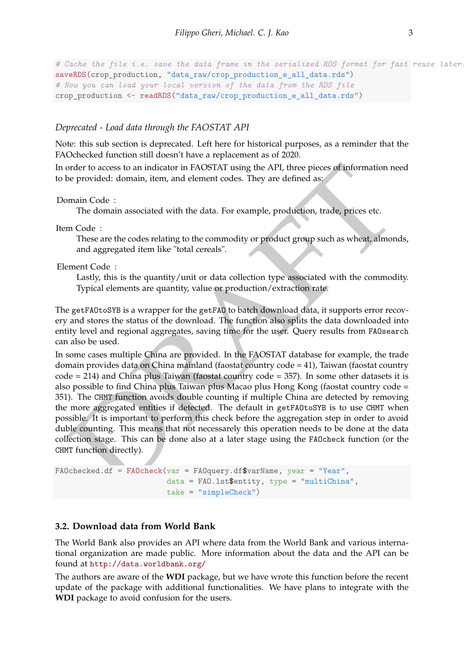```
# Cache the file i.e. save the data frame in the serialized RDS format for fast reuse later.
saveRDS(crop_production, "data_raw/crop_production_e_all_data.rds")
# Now you can load your local version of the data from the RDS file
crop_production <- readRDS("data_raw/crop_production_e_all_data.rds")
```
#### *Deprecated - Load data through the FAOSTAT API*

Note: this sub section is deprecated. Left here for historical purposes, as a reminder that the FAOchecked function still doesn't have a replacement as of 2020.

In order to access to an indicator in FAOSTAT using the API, three pieces of information need to be provided: domain, item, and element codes. They are defined as:

#### Domain Code :

The domain associated with the data. For example, production, trade, prices etc.

Item Code :

These are the codes relating to the commodity or product group such as wheat, almonds, and aggregated item like "total cereals".

#### Element Code :

Lastly, this is the quantity/unit or data collection type associated with the commodity. Typical elements are quantity, value or production/extraction rate.

The getFAOtoSYB is a wrapper for the getFAO to batch download data, it supports error recovery and stores the status of the download. The function also splits the data downloaded into entity level and regional aggregates, saving time for the user. Query results from FAOsearch can also be used.

order to access to an indicator in FAOSTAT using the API, three pieces of information need<br>be provided: domain, item, and element codes. They are defined as:<br>meant Code :<br>The domain associated with the data. For example, In some cases multiple China are provided. In the FAOSTAT database for example, the trade domain provides data on China mainland (faostat country code = 41), Taiwan (faostat country code = 214) and China plus Taiwan (faostat country code = 357). In some other datasets it is also possible to find China plus Taiwan plus Macao plus Hong Kong (faostat country code = 351). The CHMT function avoids double counting if multiple China are detected by removing the more aggregated entities if detected. The default in getFAOtoSYB is to use CHMT when possible. It is important to perform this check before the aggregation step in order to avoid duble counting. This means that not necessarely this operation needs to be done at the data collection stage. This can be done also at a later stage using the FAOcheck function (or the CHMT function directly).

```
FAOchecked.df = FAOcheck(var = FAOquery.df$varName, year = "Year",
                         data = FAO.lst$entity, type = "multiChina",
                         take = "simpleCheck")
```
#### **3.2. Download data from World Bank**

The World Bank also provides an API where data from the World Bank and various international organization are made public. More information about the data and the API can be found at <http://data.worldbank.org/>

The authors are aware of the **WDI** package, but we have wrote this function before the recent update of the package with additional functionalities. We have plans to integrate with the **WDI** package to avoid confusion for the users.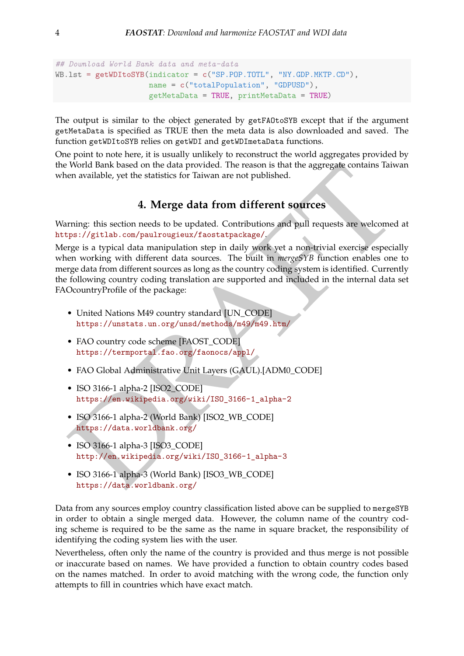```
## Download World Bank data and meta-data
WB.lst = getWDItoSYB(indicator = c("SP.POP.TOTL", "NY.GDP.MKTP.CD"),
                     name = c("totalPopulation", "GDPUSD"),
                     getMetaData = TRUE, printMetaData = TRUE)
```
The output is similar to the object generated by getFAOtoSYB except that if the argument getMetaData is specified as TRUE then the meta data is also downloaded and saved. The function getWDItoSYB relies on getWDI and getWDImetaData functions.

One point to note here, it is usually unlikely to reconstruct the world aggregates provided by the World Bank based on the data provided. The reason is that the aggregate contains Taiwan when available, yet the statistics for Taiwan are not published.

### **4. Merge data from different sources**

Warning: this section needs to be updated. Contributions and pull requests are welcomed at https://gitlab.com/paulrougieux/faostatpackage/.

World Bank based on the data provided. The reason is that the aggregate contains Taiwan<br>en available, yet the statistics for Taiwan are not published.<br>
4. Merge data from different sources<br>
repart/gitals.com/pautrougiear/2 Merge is a typical data manipulation step in daily work yet a non-trivial exercise especially when working with different data sources. The built in *mergeSYB* function enables one to merge data from different sources as long as the country coding system is identified. Currently the following country coding translation are supported and included in the internal data set FAOcountryProfile of the package:

- United Nations M49 country standard [UN\_CODE] https://unstats.un.org/unsd/methods/m49/m49.htm/
- FAO country code scheme [FAOST\_CODE] https://termportal.fao.org/faonocs/appl/
- FAO Global Administrative Unit Layers (GAUL).[ADM0\_CODE]
- ISO 3166-1 alpha-2 [ISO2\_CODE] https://en.wikipedia.org/wiki/ISO\_3166-1\_alpha-2
- ISO 3166-1 alpha-2 (World Bank) [ISO2\_WB\_CODE] https://data.worldbank.org/
- ISO 3166-1 alpha-3 [ISO3\_CODE] http://en.wikipedia.org/wiki/ISO\_3166-1\_alpha-3
- ISO 3166-1 alpha-3 (World Bank) [ISO3\_WB\_CODE] https://data.worldbank.org/

Data from any sources employ country classification listed above can be supplied to mergeSYB in order to obtain a single merged data. However, the column name of the country coding scheme is required to be the same as the name in square bracket, the responsibility of identifying the coding system lies with the user.

Nevertheless, often only the name of the country is provided and thus merge is not possible or inaccurate based on names. We have provided a function to obtain country codes based on the names matched. In order to avoid matching with the wrong code, the function only attempts to fill in countries which have exact match.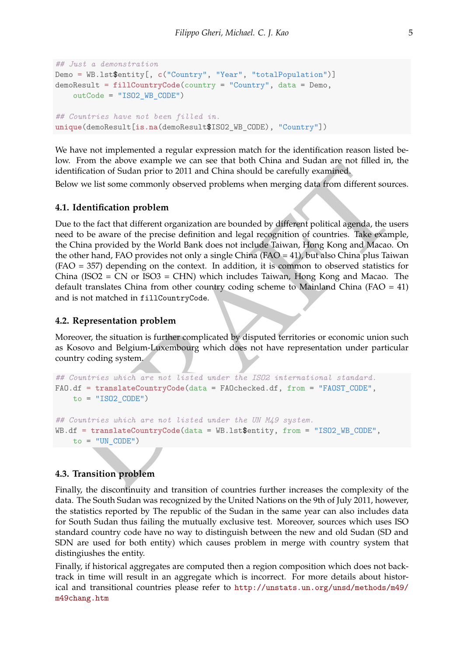```
## Just a demonstration
Demo = WB.lst$entity[, c("Country", "Year", "totalPopulation")]
demoResult = fillCountryCode(country = "Country", data = Demo,
    outCode = "ISO2_WB_CODE")
## Countries have not been filled in.
unique(demoResult[is.na(demoResult$ISO2_WB_CODE), "Country"])
```
We have not implemented a regular expression match for the identification reason listed below. From the above example we can see that both China and Sudan are not filled in, the identification of Sudan prior to 2011 and China should be carefully examined.

Below we list some commonly observed problems when merging data from different sources.

#### **4.1. Identification problem**

From a most contained to the matter out and the matter of the matter of the complete.<br>
Inflictation of Sudan prior to 2011 and China should be carefully examined,<br>
ow we list some commonly observed problems when merging d Due to the fact that different organization are bounded by different political agenda, the users need to be aware of the precise definition and legal recognition of countries. Take example, the China provided by the World Bank does not include Taiwan, Hong Kong and Macao. On the other hand, FAO provides not only a single China (FAO = 41), but also China plus Taiwan (FAO = 357) depending on the context. In addition, it is common to observed statistics for China (ISO2 = CN or ISO3 = CHN) which includes Taiwan, Hong Kong and Macao. The default translates China from other country coding scheme to Mainland China (FAO  $=$  41) and is not matched in fillCountryCode.

#### **4.2. Representation problem**

Moreover, the situation is further complicated by disputed territories or economic union such as Kosovo and Belgium-Luxembourg which does not have representation under particular country coding system.

```
## Countries which are not listed under the ISO2 international standard.
FAO.df = translateCountryCode(data = FAOchecked.df, from = "FAOST_CODE",
   to = "ISO2CODE")## Countries which are not listed under the UN M49 system.
WB.df = translateCountryCode(data = WB.lst$entity, from = "ISO2_WB_CODE",
   to = "UN CODE")
```
#### **4.3. Transition problem**

Finally, the discontinuity and transition of countries further increases the complexity of the data. The South Sudan was recognized by the United Nations on the 9th of July 2011, however, the statistics reported by The republic of the Sudan in the same year can also includes data for South Sudan thus failing the mutually exclusive test. Moreover, sources which uses ISO standard country code have no way to distinguish between the new and old Sudan (SD and SDN are used for both entity) which causes problem in merge with country system that distingiushes the entity.

Finally, if historical aggregates are computed then a region composition which does not backtrack in time will result in an aggregate which is incorrect. For more details about historical and transitional countries please refer to [http://unstats.un.org/unsd/methods/m49/](http://unstats.un.org/unsd/methods/m49/m49chang.htm) [m49chang.htm](http://unstats.un.org/unsd/methods/m49/m49chang.htm)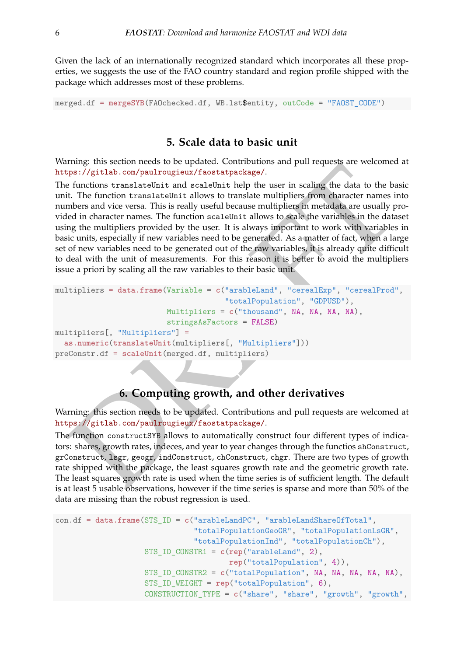Given the lack of an internationally recognized standard which incorporates all these properties, we suggests the use of the FAO country standard and region profile shipped with the package which addresses most of these problems.

merged.df = **mergeSYB**(FAOchecked.df, WB.lst\$entity, outCode = "FAOST\_CODE")

## **5. Scale data to basic unit**

Warning: this section needs to be updated. Contributions and pull requests are welcomed at https://gitlab.com/paulrougieux/faostatpackage/.

Fig. 1 and Station feata to the qubital combined to the principle and the functions translated<br>in the function translated<br>in the scaling the such that the term is caling the data to the basic<br>functions translated<br>in the s The functions translateUnit and scaleUnit help the user in scaling the data to the basic unit. The function translateUnit allows to translate multipliers from character names into numbers and vice versa. This is really useful because multipliers in metadata are usually provided in character names. The function scaleUnit allows to scale the variables in the dataset using the multipliers provided by the user. It is always important to work with variables in basic units, especially if new variables need to be generated. As a matter of fact, when a large set of new variables need to be generated out of the raw variables, it is already quite difficult to deal with the unit of measurements. For this reason it is better to avoid the multipliers issue a priori by scaling all the raw variables to their basic unit.

```
multipliers = data.frame(Variable = c("arableLand", "cerealExp", "cerealProd",
                                      "totalPopulation", "GDPUSD"),
                         Multipliers = c("thousand", NA, NA, NA, NA),
                         stringsAsFactors = FALSE)
multipliers[, "Multipliers"] =
  as.numeric(translateUnit(multipliers[, "Multipliers"]))
preConstr.df = scaleUnit(merged.df, multipliers)
```
## **6. Computing growth, and other derivatives**

Warning: this section needs to be updated. Contributions and pull requests are welcomed at https://gitlab.com/paulrougieux/faostatpackage/.

The function constructSYB allows to automatically construct four different types of indicators: shares, growth rates, indeces, and year to year changes through the functios shConstruct, grConstruct, lsgr, geogr, indConstruct, chConstruct, chgr. There are two types of growth rate shipped with the package, the least squares growth rate and the geometric growth rate. The least squares growth rate is used when the time series is of sufficient length. The default is at least 5 usable observations, however if the time series is sparse and more than 50% of the data are missing than the robust regression is used.

```
con.df = data.frame(STS_ID = c("arableLandPC", "arableLandShareOfTotal",
                               "totalPopulationGeoGR", "totalPopulationLsGR",
                               "totalPopulationInd", "totalPopulationCh"),
                    STS_ID_CONSTR1 = c(rep("arableLand", 2),
                                       rep("totalPopulation", 4)),
                    STS_ID_CONSTR2 = c("totalPopulation", NA, NA, NA, NA, NA),
                    STS_ID_WEIGHT = rep("totalPopulation", 6),
                    CONSTRUCTION_TYPE = c("share", "share", "growth", "growth",
```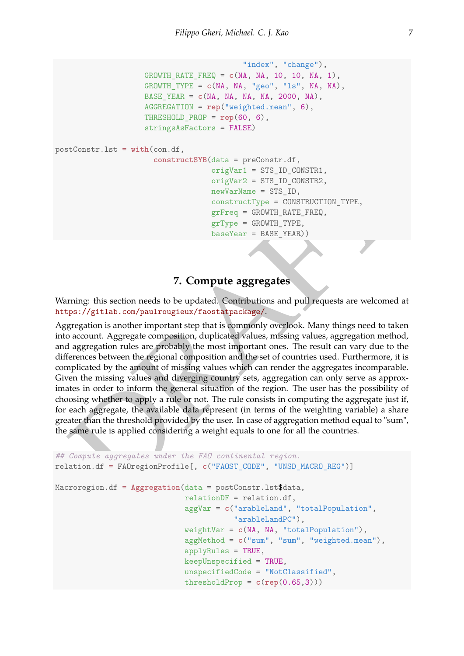```
"index", "change"),
                    GROWTH_RATE_FREQ = c(NA, NA, 10, 10, NA, 1),
                    GROWTH TYPE = c(NA, NA, "geo", "ls", NA, NA),
                    BASE_YEAR = c(NA, NA, NA, NA, 2000, NA),
                    AGGREGATION = rep("weighted.mean", 6),
                    THRESHOLD PROP = \text{rep}(60, 6),
                    stringsAsFactors = FALSE)
postConstr.lst = with(con.df,
                      constructSYB(data = preConstr.df,
                                    origVar1 = STS_ID_CONSTR1,
                                    origVar2 = STS_ID_CONSTR2,
                                    newVarName = STS_ID,
                                    constructType = CONSTRUCTION_TYPE,
                                    grFreq = GROWTH_RATE_FREQ,
                                    grType = GROWTH_TYPE,
                                    baseYear = BASE_YEAR))
```
## **7. Compute aggregates**

Warning: this section needs to be updated. Contributions and pull requests are welcomed at https://gitlab.com/paulrougieux/faostatpackage/.

 $\begin{tabular}{ll} & or\texttt{rigVar1} = \texttt{STS\_ID\_CONSTR1}, \\ & or\texttt{rigVar2} = \texttt{STS\_ID\_CONSTR12}, \\ & new\texttt{verUType} = \texttt{GONSTR1}\texttt{C} \texttt{D} \texttt{CONER1}\texttt{C} \texttt{D} \texttt{C} \texttt{D} \texttt{C} \texttt{D} \texttt{C} \texttt{D} \texttt{D} \texttt{C} \texttt{D} \texttt{D} \texttt{C} \texttt{D} \texttt{D} \texttt{C} \texttt{D} \texttt{D} \texttt{D} \texttt{C} \$ Aggregation is another important step that is commonly overlook. Many things need to taken into account. Aggregate composition, duplicated values, missing values, aggregation method, and aggregation rules are probably the most important ones. The result can vary due to the differences between the regional composition and the set of countries used. Furthermore, it is complicated by the amount of missing values which can render the aggregates incomparable. Given the missing values and diverging country sets, aggregation can only serve as approximates in order to inform the general situation of the region. The user has the possibility of choosing whether to apply a rule or not. The rule consists in computing the aggregate just if, for each aggregate, the available data represent (in terms of the weighting variable) a share greater than the threshold provided by the user. In case of aggregation method equal to "sum", the same rule is applied considering a weight equals to one for all the countries.

```
## Compute aggregates under the FAO continental region.
relation.df = FAOregionProfile[, c("FAOST_CODE", "UNSD_MACRO_REG")]
Macroregion.df = Aggregation(data = postConstr.lst$data,
                             relationDF = relation.df,
                             aggVar = c("arableLand", "totalPopulation",
                                        "arableLandPC"),
                             weightVar = c(NA, NA, "totalPopulation"),
                             aggMethod = c("sum", "sum", "weighted.mean"),
                             applyRules = TRUE,
                             keepUnspecified = TRUE,
                             unspecifiedCode = "NotClassified",
                             thresholdProp = c(rep(0.65,3)))
```